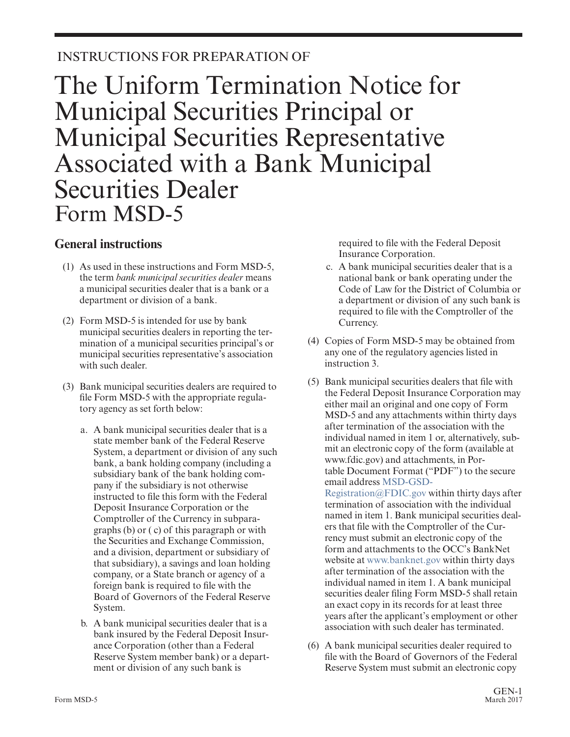## INSTRUCTIONS FOR PREPARATION OF

## The Uniform Termination Notice for Municipal Securities Principal or Municipal Securities Representative Associated with a Bank Municipal Securities Dealer Form MSD-5

## **General instructions**

- (1) As used in these instructions and Form MSD-5, the term *bank municipal securities dealer* means a municipal securities dealer that is a bank or a department or division of a bank.
- (2) Form MSD-5 is intended for use by bank municipal securities dealers in reporting the termination of a municipal securities principal's or municipal securities representative's association with such dealer.
- (3) Bank municipal securities dealers are required to file Form MSD-5 with the appropriate regulatory agency as set forth below:
	- a. A bank municipal securities dealer that is a state member bank of the Federal Reserve System, a department or division of any such bank, a bank holding company (including a subsidiary bank of the bank holding company if the subsidiary is not otherwise instructed to file this form with the Federal Deposit Insurance Corporation or the Comptroller of the Currency in subparagraphs (b) or ( c) of this paragraph or with the Securities and Exchange Commission, and a division, department or subsidiary of that subsidiary), a savings and loan holding company, or a State branch or agency of a foreign bank is required to file with the Board of Governors of the Federal Reserve System.
	- b. A bank municipal securities dealer that is a bank insured by the Federal Deposit Insurance Corporation (other than a Federal Reserve System member bank) or a department or division of any such bank is

required to file with the Federal Deposit Insurance Corporation.

- c. A bank municipal securities dealer that is a national bank or bank operating under the Code of Law for the District of Columbia or a department or division of any such bank is required to file with the Comptroller of the Currency.
- (4) Copies of Form MSD-5 may be obtained from any one of the regulatory agencies listed in instruction 3.
- (5) Bank municipal securities dealers that file with the Federal Deposit Insurance Corporation may either mail an original and one copy of Form MSD-5 and any attachments within thirty days after termination of the association with the individual named in item 1 or, alternatively, submit an electronic copy of the form (available at www.fdic.gov) and attachments, in Portable Document Format ("PDF") to the secure email address [MSD-GSD-](mailto:MSD-GSD-Registration@FDIC.gov)

[Registration@FDIC.gov](mailto:MSD-GSD-Registration@FDIC.gov) within thirty days after termination of association with the individual named in item 1. Bank municipal securities dealers that file with the Comptroller of the Currency must submit an electronic copy of the form and attachments to the OCC's BankNet website at [www.banknet.gov](http://www.banknet.gov/) within thirty days after termination of the association with the individual named in item 1. A bank municipal securities dealer filing Form MSD-5 shall retain an exact copy in its records for at least three years after the applicant's employment or other association with such dealer has terminated.

(6) A bank municipal securities dealer required to file with the Board of Governors of the Federal Reserve System must submit an electronic copy